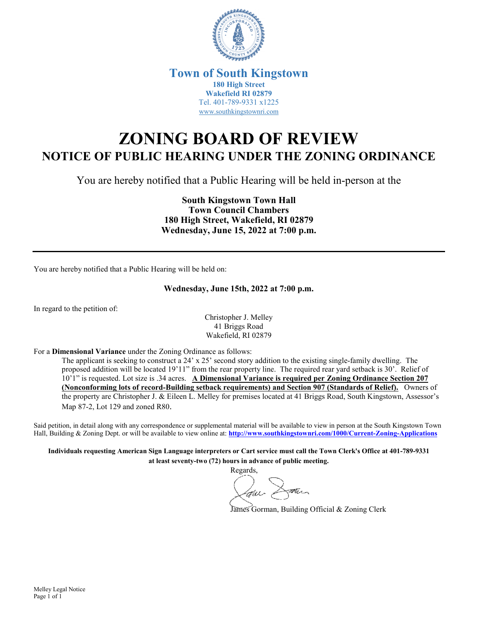

## **Town of South Kingstown 180 High Street Wakefield RI 02879** Tel. 401-789-9331 x1225 [www.southkingstownri.com](http://www.southkingstownri.com/)

## **ZONING BOARD OF REVIEW NOTICE OF PUBLIC HEARING UNDER THE ZONING ORDINANCE**

You are hereby notified that a Public Hearing will be held in-person at the

**South Kingstown Town Hall Town Council Chambers 180 High Street, Wakefield, RI 02879 Wednesday, June 15, 2022 at 7:00 p.m.** 

You are hereby notified that a Public Hearing will be held on:

## **Wednesday, June 15th, 2022 at 7:00 p.m.**

In regard to the petition of:

Christopher J. Melley 41 Briggs Road Wakefield, RI 02879

For a **Dimensional Variance** under the Zoning Ordinance as follows:

The applicant is seeking to construct a  $24' \times 25'$  second story addition to the existing single-family dwelling. The proposed addition will be located 19'11" from the rear property line. The required rear yard setback is 30'. Relief of 10'1" is requested. Lot size is .34 acres. **A Dimensional Variance is required per Zoning Ordinance Section 207 (Nonconforming lots of record-Building setback requirements) and Section 907 (Standards of Relief).** Owners of the property are Christopher J. & Eileen L. Melley for premises located at 41 Briggs Road, South Kingstown, Assessor's Map 87-2, Lot 129 and zoned R80.

Said petition, in detail along with any correspondence or supplemental material will be available to view in person at the South Kingstown Town Hall, Building & Zoning Dept. or will be available to view online at: **<http://www.southkingstownri.com/1000/Current-Zoning-Applications>**

**Individuals requesting American Sign Language interpreters or Cart service must call the Town Clerk's Office at 401-789-9331 at least seventy-two (72) hours in advance of public meeting.** 

Regards,

James Gorman, Building Official & Zoning Clerk